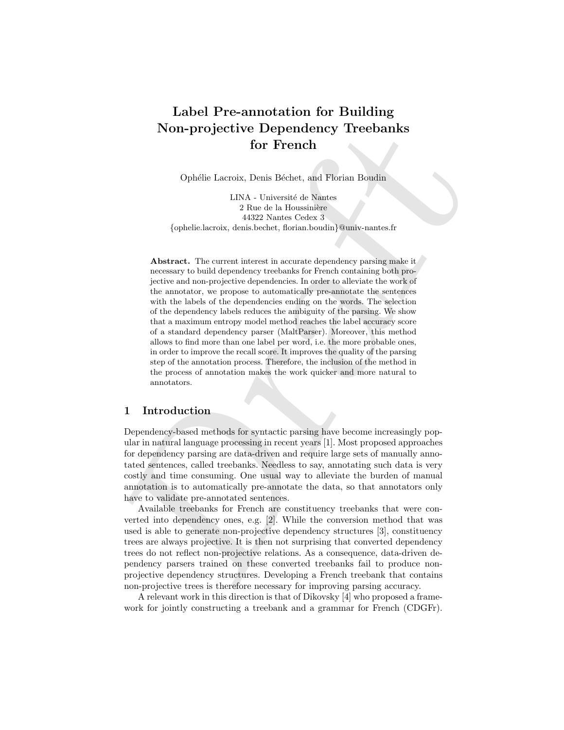# Label Pre-annotation for Building Non-projective Dependency Treebanks for French

Ophélie Lacroix, Denis Béchet, and Florian Boudin

LINA - Université de Nantes 2 Rue de la Houssinière 44322 Nantes Cedex 3 {ophelie.lacroix, denis.bechet, florian.boudin}@univ-nantes.fr

**Non-projective Dependency Treebanks**<br>for French Costins for French Costins for French Costins in the mass of the state of the state of the state of the state of the state of the state of the state of the state of the sta Abstract. The current interest in accurate dependency parsing make it necessary to build dependency treebanks for French containing both projective and non-projective dependencies. In order to alleviate the work of the annotator, we propose to automatically pre-annotate the sentences with the labels of the dependencies ending on the words. The selection of the dependency labels reduces the ambiguity of the parsing. We show that a maximum entropy model method reaches the label accuracy score of a standard dependency parser (MaltParser). Moreover, this method allows to find more than one label per word, i.e. the more probable ones, in order to improve the recall score. It improves the quality of the parsing step of the annotation process. Therefore, the inclusion of the method in the process of annotation makes the work quicker and more natural to annotators.

# 1 Introduction

Dependency-based methods for syntactic parsing have become increasingly popular in natural language processing in recent years [1]. Most proposed approaches for dependency parsing are data-driven and require large sets of manually annotated sentences, called treebanks. Needless to say, annotating such data is very costly and time consuming. One usual way to alleviate the burden of manual annotation is to automatically pre-annotate the data, so that annotators only have to validate pre-annotated sentences.

Available treebanks for French are constituency treebanks that were converted into dependency ones, e.g. [2]. While the conversion method that was used is able to generate non-projective dependency structures [3], constituency trees are always projective. It is then not surprising that converted dependency trees do not reflect non-projective relations. As a consequence, data-driven dependency parsers trained on these converted treebanks fail to produce nonprojective dependency structures. Developing a French treebank that contains non-projective trees is therefore necessary for improving parsing accuracy.

A relevant work in this direction is that of Dikovsky [4] who proposed a framework for jointly constructing a treebank and a grammar for French (CDGFr).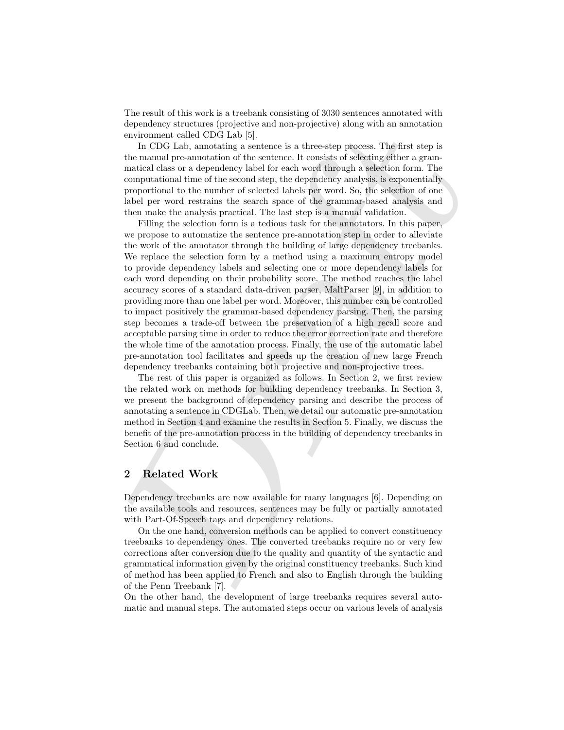The result of this work is a treebank consisting of 3030 sentences annotated with dependency structures (projective and non-projective) along with an annotation environment called CDG Lab [5].

In CDG Lab, annotating a sentence is a three-step process. The first step is the manual pre-annotation of the sentence. It consists of selecting either a grammatical class or a dependency label for each word through a selection form. The computational time of the second step, the dependency analysis, is exponentially proportional to the number of selected labels per word. So, the selection of one label per word restrains the search space of the grammar-based analysis and then make the analysis practical. The last step is a manual validation.

opennessy areas and only algo the metrosic state and the propose and summation of the main of DG 1ab (5).<br>
The CDG 1ab (5).<br>
The manual pre-amotation of the senerce is a three-step process. The first step is<br>
the manual p Filling the selection form is a tedious task for the annotators. In this paper, we propose to automatize the sentence pre-annotation step in order to alleviate the work of the annotator through the building of large dependency treebanks. We replace the selection form by a method using a maximum entropy model to provide dependency labels and selecting one or more dependency labels for each word depending on their probability score. The method reaches the label accuracy scores of a standard data-driven parser, MaltParser [9], in addition to providing more than one label per word. Moreover, this number can be controlled to impact positively the grammar-based dependency parsing. Then, the parsing step becomes a trade-off between the preservation of a high recall score and acceptable parsing time in order to reduce the error correction rate and therefore the whole time of the annotation process. Finally, the use of the automatic label pre-annotation tool facilitates and speeds up the creation of new large French dependency treebanks containing both projective and non-projective trees.

The rest of this paper is organized as follows. In Section 2, we first review the related work on methods for building dependency treebanks. In Section 3, we present the background of dependency parsing and describe the process of annotating a sentence in CDGLab. Then, we detail our automatic pre-annotation method in Section 4 and examine the results in Section 5. Finally, we discuss the benefit of the pre-annotation process in the building of dependency treebanks in Section 6 and conclude.

# 2 Related Work

Dependency treebanks are now available for many languages [6]. Depending on the available tools and resources, sentences may be fully or partially annotated with Part-Of-Speech tags and dependency relations.

On the one hand, conversion methods can be applied to convert constituency treebanks to dependency ones. The converted treebanks require no or very few corrections after conversion due to the quality and quantity of the syntactic and grammatical information given by the original constituency treebanks. Such kind of method has been applied to French and also to English through the building of the Penn Treebank [7].

On the other hand, the development of large treebanks requires several automatic and manual steps. The automated steps occur on various levels of analysis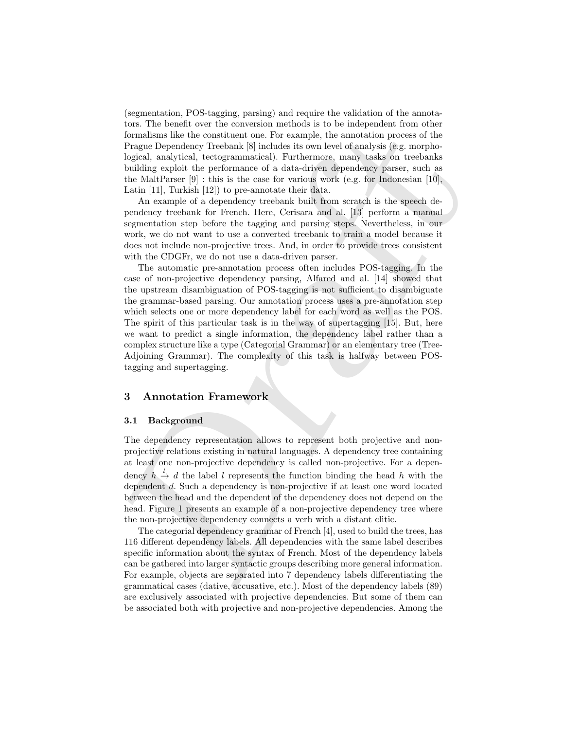(segmentation, POS-tagging, parsing) and require the validation of the annotators. The benefit over the conversion methods is to be independent from other formalisms like the constituent one. For example, the annotation process of the Prague Dependency Treebank [8] includes its own level of analysis (e.g. morphological, analytical, tectogrammatical). Furthermore, many tasks on treebanks building exploit the performance of a data-driven dependency parser, such as the MaltParser  $[9]$ : this is the case for various work (e.g. for Indonesian [10], Latin [11], Turkish [12]) to pre-annotate their data.

An example of a dependency treebank built from scratch is the speech dependency treebank for French. Here, Cerisara and al. [13] perform a manual segmentation step before the tagging and parsing steps. Nevertheless, in our work, we do not want to use a converted treebank to train a model because it does not include non-projective trees. And, in order to provide trees consistent with the CDGFr, we do not use a data-driven parser.

tower the density between two conversion the<br>constrained by the sympathenia with the construent one. For example, the a<br>montative process of the formulas in the construent one. For example, the a<br>readisfy increases of the The automatic pre-annotation process often includes POS-tagging. In the case of non-projective dependency parsing, Alfared and al. [14] showed that the upstream disambiguation of POS-tagging is not sufficient to disambiguate the grammar-based parsing. Our annotation process uses a pre-annotation step which selects one or more dependency label for each word as well as the POS. The spirit of this particular task is in the way of supertagging [15]. But, here we want to predict a single information, the dependency label rather than a complex structure like a type (Categorial Grammar) or an elementary tree (Tree-Adjoining Grammar). The complexity of this task is halfway between POStagging and supertagging.

#### 3 Annotation Framework

#### 3.1 Background

The dependency representation allows to represent both projective and nonprojective relations existing in natural languages. A dependency tree containing at least one non-projective dependency is called non-projective. For a dependency  $h \stackrel{l}{\rightarrow} d$  the label l represents the function binding the head h with the dependent d. Such a dependency is non-projective if at least one word located between the head and the dependent of the dependency does not depend on the head. Figure 1 presents an example of a non-projective dependency tree where the non-projective dependency connects a verb with a distant clitic.

The categorial dependency grammar of French [4], used to build the trees, has 116 different dependency labels. All dependencies with the same label describes specific information about the syntax of French. Most of the dependency labels can be gathered into larger syntactic groups describing more general information. For example, objects are separated into 7 dependency labels differentiating the grammatical cases (dative, accusative, etc.). Most of the dependency labels (89) are exclusively associated with projective dependencies. But some of them can be associated both with projective and non-projective dependencies. Among the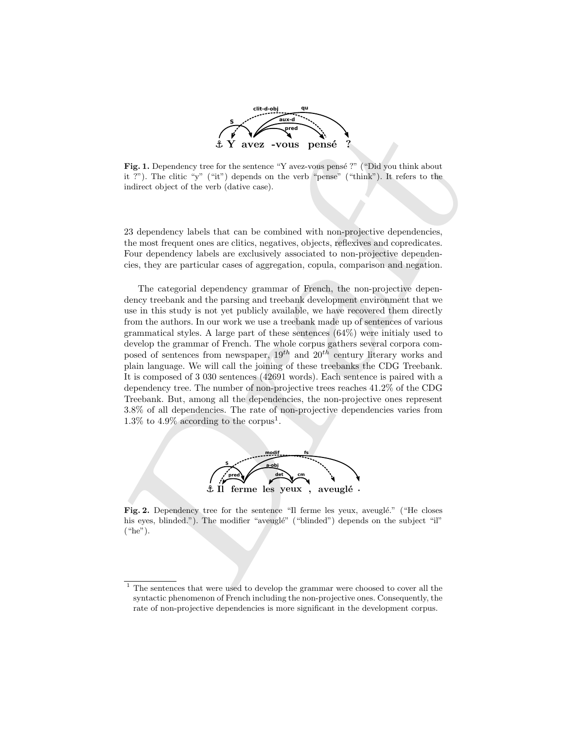

Fig. 1. Dependency tree for the sentence "Y avez-vous pensé ?" ("Did you think about it ?"). The clitic "y" ("it") depends on the verb "pense" ("think"). It refers to the indirect object of the verb (dative case).

23 dependency labels that can be combined with non-projective dependencies, the most frequent ones are clitics, negatives, objects, reflexives and copredicates. Four dependency labels are exclusively associated to non-projective dependencies, they are particular cases of aggregation, copula, comparison and negation.

Fig. 1. Dependency tree for the avera – volume penale ?<br>
Fig. 1. Dependency tree for the sentance "Y averaging peak ?" ("Didyou think shout in ?"). The ditic "y" ("ii") depends on the verb "peace" ("think"). It refers to The categorial dependency grammar of French, the non-projective dependency treebank and the parsing and treebank development environment that we use in this study is not yet publicly available, we have recovered them directly from the authors. In our work we use a treebank made up of sentences of various grammatical styles. A large part of these sentences (64%) were initialy used to develop the grammar of French. The whole corpus gathers several corpora composed of sentences from newspaper,  $19^{th}$  and  $20^{th}$  century literary works and plain language. We will call the joining of these treebanks the CDG Treebank. It is composed of 3 030 sentences (42691 words). Each sentence is paired with a dependency tree. The number of non-projective trees reaches 41.2% of the CDG Treebank. But, among all the dependencies, the non-projective ones represent 3.8% of all dependencies. The rate of non-projective dependencies varies from 1.3% to 4.9% according to the corpus<sup>1</sup>.



Fig. 2. Dependency tree for the sentence "Il ferme les yeux, aveuglé." ("He closes") his eyes, blinded."). The modifier "aveuglé" ("blinded") depends on the subject "il" ("he").

 $^{\rm 1}$  The sentences that were used to develop the grammar were choosed to cover all the syntactic phenomenon of French including the non-projective ones. Consequently, the rate of non-projective dependencies is more significant in the development corpus.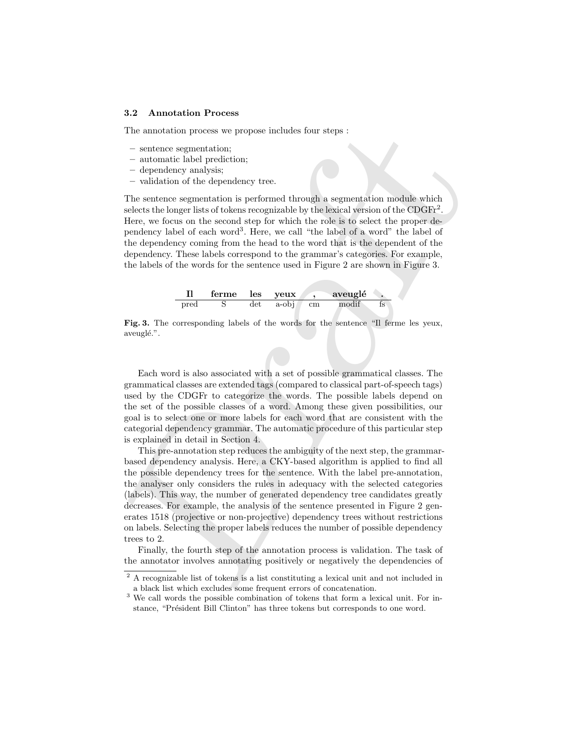#### 3.2 Annotation Process

The annotation process we propose includes four steps :

- sentence segmentation;
- automatic label prediction;
- dependency analysis;
- validation of the dependency tree.

The sentence segmentation is performed through a segmentation module which selects the longer lists of tokens recognizable by the lexical version of the CDGFr<sup>2</sup>. Here, we focus on the second step for which the role is to select the proper dependency label of each word<sup>3</sup> . Here, we call "the label of a word" the label of the dependency coming from the head to the word that is the dependent of the dependency. These labels correspond to the grammar's categories. For example, the labels of the words for the sentence used in Figure 2 are shown in Figure 3.



Fig. 3. The corresponding labels of the words for the sentence "Il ferme les yeux, aveuglé.".

Each word is also associated with a set of possible grammatical classes. The grammatical classes are extended tags (compared to classical part-of-speech tags) used by the CDGFr to categorize the words. The possible labels depend on the set of the possible classes of a word. Among these given possibilities, our goal is to select one or more labels for each word that are consistent with the categorial dependency grammar. The automatic procedure of this particular step is explained in detail in Section 4.

The annotheian process we propose includes four steps :<br>
sentence segmentation;<br>
- entrantation below procedure through a segmentation module which<br>
- entration of the dependency tree.<br>
- entration of the dependency tree. This pre-annotation step reduces the ambiguity of the next step, the grammarbased dependency analysis. Here, a CKY-based algorithm is applied to find all the possible dependency trees for the sentence. With the label pre-annotation, the analyser only considers the rules in adequacy with the selected categories (labels). This way, the number of generated dependency tree candidates greatly decreases. For example, the analysis of the sentence presented in Figure 2 generates 1518 (projective or non-projective) dependency trees without restrictions on labels. Selecting the proper labels reduces the number of possible dependency trees to 2.

Finally, the fourth step of the annotation process is validation. The task of the annotator involves annotating positively or negatively the dependencies of

 $\sqrt{2 A}$  recognizable list of tokens is a list constituting a lexical unit and not included in a black list which excludes some frequent errors of concatenation.

<sup>3</sup> We call words the possible combination of tokens that form a lexical unit. For instance, "Président Bill Clinton" has three tokens but corresponds to one word.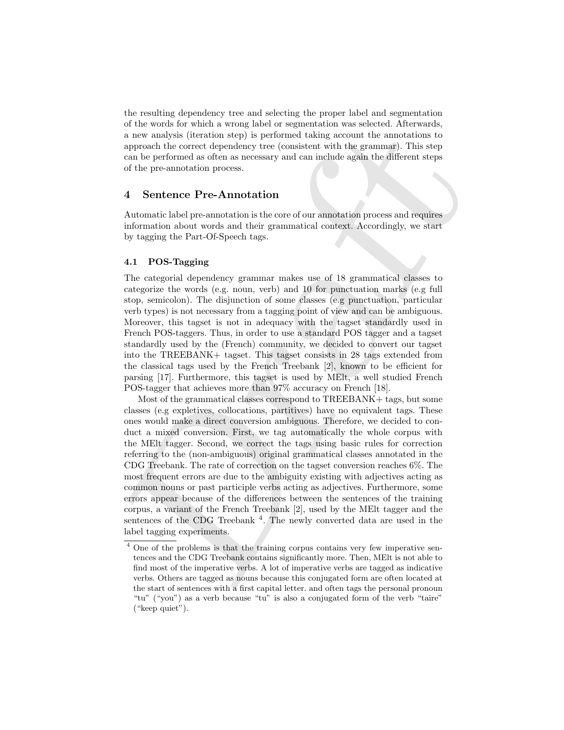the resulting dependency tree and selecting the proper label and segmentation of the words for which a wrong label or segmentation was selected. Afterwards, a new analysis (iteration step) is performed taking account the annotations to approach the correct dependency tree (consistent with the grammar). This step can be performed as often as necessary and can include again the different steps of the pre-annotation process.

## 4 Sentence Pre-Annotation

Automatic label pre-annotation is the core of our annotation process and requires information about words and their grammatical context. Accordingly, we start by tagging the Part-Of-Speech tags.

#### 4.1 POS-Tagging

The categorial dependency grammar makes use of 18 grammatical classes to categorize the words (e.g. noun, verb) and 10 for punctuation marks (e.g full stop, semicolon). The disjunction of some classes (e.g punctuation, particular verb types) is not necessary from a tagging point of view and can be ambiguous. Moreover, this tagset is not in adequacy with the tagset standardly used in French POS-taggers. Thus, in order to use a standard POS tagger and a tagset standardly used by the (French) community, we decided to convert our tagset into the TREEBANK+ tagset. This tagset consists in 28 tags extended from the classical tags used by the French Treebank [2], known to be efficient for parsing [17]. Furthermore, this tagset is used by MElt, a well studied French POS-tagger that achieves more than 97% accuracy on French [18].

or the words of which is atong note or segmentation was select. A relevants a new analysis (iteration step) is performed taking account the aroundations to approach the orrered dependent with the grammage). This step can Most of the grammatical classes correspond to TREEBANK+ tags, but some classes (e.g expletives, collocations, partitives) have no equivalent tags. These ones would make a direct conversion ambiguous. Therefore, we decided to conduct a mixed conversion. First, we tag automatically the whole corpus with the MElt tagger. Second, we correct the tags using basic rules for correction referring to the (non-ambiguous) original grammatical classes annotated in the CDG Treebank. The rate of correction on the tagset conversion reaches 6%. The most frequent errors are due to the ambiguity existing with adjectives acting as common nouns or past participle verbs acting as adjectives. Furthermore, some errors appear because of the differences between the sentences of the training corpus, a variant of the French Treebank [2], used by the MElt tagger and the sentences of the CDG Treebank<sup>4</sup>. The newly converted data are used in the label tagging experiments.

<sup>4</sup> One of the problems is that the training corpus contains very few imperative sentences and the CDG Treebank contains significantly more. Then, MElt is not able to find most of the imperative verbs. A lot of imperative verbs are tagged as indicative verbs. Others are tagged as nouns because this conjugated form are often located at the start of sentences with a first capital letter. and often tags the personal pronoun "tu" ("you") as a verb because "tu" is also a conjugated form of the verb "taire" ("keep quiet").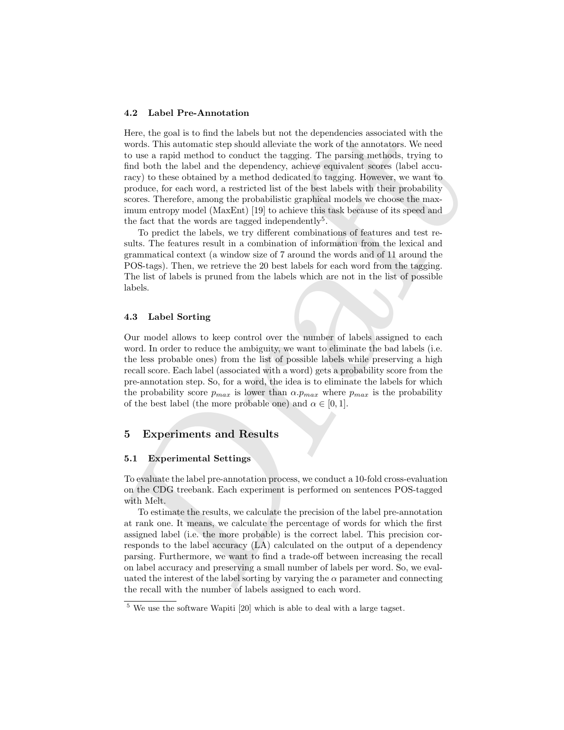#### 4.2 Label Pre-Annotation

Henc, the goal is to final the labels<br>be in ract the dependentials sets consider with the proof of the annuators. We need which as a model method is considered to consider the model of the model of the label model is the Here, the goal is to find the labels but not the dependencies associated with the words. This automatic step should alleviate the work of the annotators. We need to use a rapid method to conduct the tagging. The parsing methods, trying to find both the label and the dependency, achieve equivalent scores (label accuracy) to these obtained by a method dedicated to tagging. However, we want to produce, for each word, a restricted list of the best labels with their probability scores. Therefore, among the probabilistic graphical models we choose the maximum entropy model (MaxEnt) [19] to achieve this task because of its speed and the fact that the words are tagged independently<sup>5</sup>.

To predict the labels, we try different combinations of features and test results. The features result in a combination of information from the lexical and grammatical context (a window size of 7 around the words and of 11 around the POS-tags). Then, we retrieve the 20 best labels for each word from the tagging. The list of labels is pruned from the labels which are not in the list of possible labels.

#### 4.3 Label Sorting

Our model allows to keep control over the number of labels assigned to each word. In order to reduce the ambiguity, we want to eliminate the bad labels (i.e. the less probable ones) from the list of possible labels while preserving a high recall score. Each label (associated with a word) gets a probability score from the pre-annotation step. So, for a word, the idea is to eliminate the labels for which the probability score  $p_{max}$  is lower than  $\alpha.p_{max}$  where  $p_{max}$  is the probability of the best label (the more probable one) and  $\alpha \in [0,1]$ .

# 5 Experiments and Results

#### 5.1 Experimental Settings

To evaluate the label pre-annotation process, we conduct a 10-fold cross-evaluation on the CDG treebank. Each experiment is performed on sentences POS-tagged with Melt.

To estimate the results, we calculate the precision of the label pre-annotation at rank one. It means, we calculate the percentage of words for which the first assigned label (i.e. the more probable) is the correct label. This precision corresponds to the label accuracy (LA) calculated on the output of a dependency parsing. Furthermore, we want to find a trade-off between increasing the recall on label accuracy and preserving a small number of labels per word. So, we evaluated the interest of the label sorting by varying the  $\alpha$  parameter and connecting the recall with the number of labels assigned to each word.

<sup>5</sup> We use the software Wapiti [20] which is able to deal with a large tagset.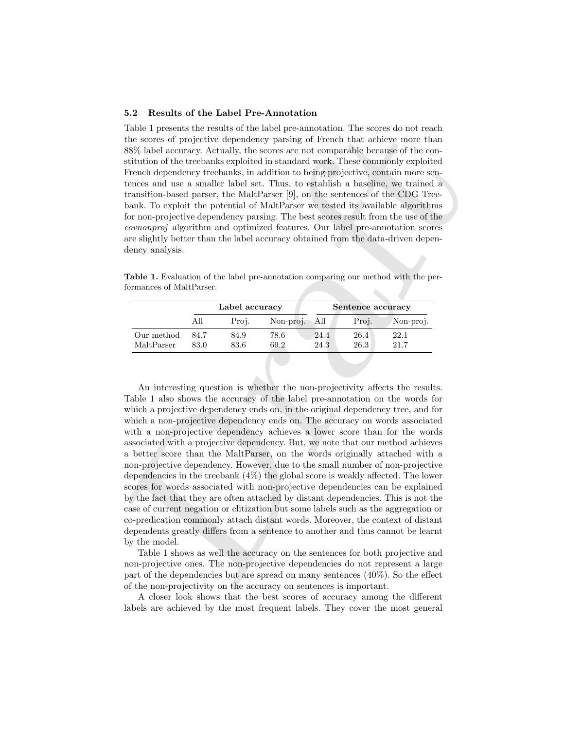#### 5.2 Results of the Label Pre-Annotation

Table 1 presents the results of the label pre-annotation. The scores do not reach the scores of projective dependency parsing of French that achieve more than 88% label accuracy. Actually, the scores are not comparable because of the constitution of the treebanks exploited in standard work. These commonly exploited French dependency treebanks, in addition to being projective, contain more sentences and use a smaller label set. Thus, to establish a baseline, we trained a transition-based parser, the MaltParser [9], on the sentences of the CDG Treebank. To exploit the potential of MaltParser we tested its available algorithms for non-projective dependency parsing. The best scores result from the use of the covnonproj algorithm and optimized features. Our label pre-annotation scores are slightly better than the label accuracy obtained from the data-driven dependency analysis.

Table 1. Evaluation of the label pre-annotation comparing our method with the performances of MaltParser.

|                          | Label accuracy |              |               |              | Sentence accuracy |              |  |
|--------------------------|----------------|--------------|---------------|--------------|-------------------|--------------|--|
|                          | All            | Proi.        | Non-proj. All |              | Proj.             | Non-proj.    |  |
| Our method<br>MaltParser | 84.7<br>83.0   | 84.9<br>83.6 | 78.6<br>69.2  | 24.4<br>24.3 | 26.4<br>26.3      | 22.1<br>21.7 |  |

Table 1 researcs the results of the balled present<br>antariation. The scores of projective dependency parsing of Freued In<br>the active one than stitution of the tree-balls, the secrec are not comparable because of the cost<br>s An interesting question is whether the non-projectivity affects the results. Table 1 also shows the accuracy of the label pre-annotation on the words for which a projective dependency ends on, in the original dependency tree, and for which a non-projective dependency ends on. The accuracy on words associated with a non-projective dependency achieves a lower score than for the words associated with a projective dependency. But, we note that our method achieves a better score than the MaltParser, on the words originally attached with a non-projective dependency. However, due to the small number of non-projective dependencies in the treebank (4%) the global score is weakly affected. The lower scores for words associated with non-projective dependencies can be explained by the fact that they are often attached by distant dependencies. This is not the case of current negation or clitization but some labels such as the aggregation or co-predication commonly attach distant words. Moreover, the context of distant dependents greatly differs from a sentence to another and thus cannot be learnt by the model.

Table 1 shows as well the accuracy on the sentences for both projective and non-projective ones. The non-projective dependencies do not represent a large part of the dependencies but are spread on many sentences (40%). So the effect of the non-projectivity on the accuracy on sentences is important.

A closer look shows that the best scores of accuracy among the different labels are achieved by the most frequent labels. They cover the most general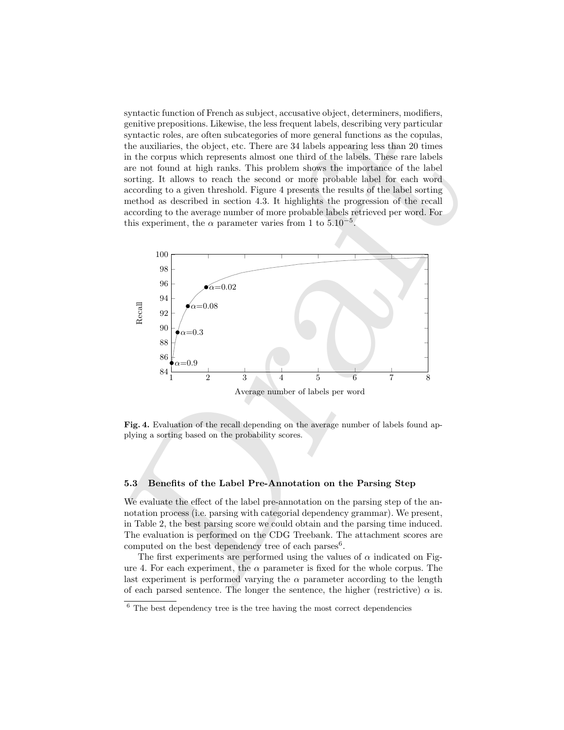syntactic function of French as subject, accusative object, determiners, modifiers, genitive prepositions. Likewise, the less frequent labels, describing very particular syntactic roles, are often subcategories of more general functions as the copulas, the auxiliaries, the object, etc. There are 34 labels appearing less than 20 times in the corpus which represents almost one third of the labels. These rare labels are not found at high ranks. This problem shows the importance of the label sorting. It allows to reach the second or more probable label for each word according to a given threshold. Figure 4 presents the results of the label sorting method as described in section 4.3. It highlights the progression of the recall according to the average number of more probable labels retrieved per word. For this experiment, the  $\alpha$  parameter varies from 1 to  $5.10^{-5}$ .



Fig. 4. Evaluation of the recall depending on the average number of labels found applying a sorting based on the probability scores.

#### 5.3 Benefits of the Label Pre-Annotation on the Parsing Step

We evaluate the effect of the label pre-annotation on the parsing step of the annotation process (i.e. parsing with categorial dependency grammar). We present, in Table 2, the best parsing score we could obtain and the parsing time induced. The evaluation is performed on the CDG Treebank. The attachment scores are computed on the best dependency tree of each parses<sup>6</sup>.

The first experiments are performed using the values of  $\alpha$  indicated on Figure 4. For each experiment, the  $\alpha$  parameter is fixed for the whole corpus. The last experiment is performed varying the  $\alpha$  parameter according to the length of each parsed sentence. The longer the sentence, the higher (restrictive)  $\alpha$  is.

 $6$  The best dependency tree is the tree having the most correct dependencies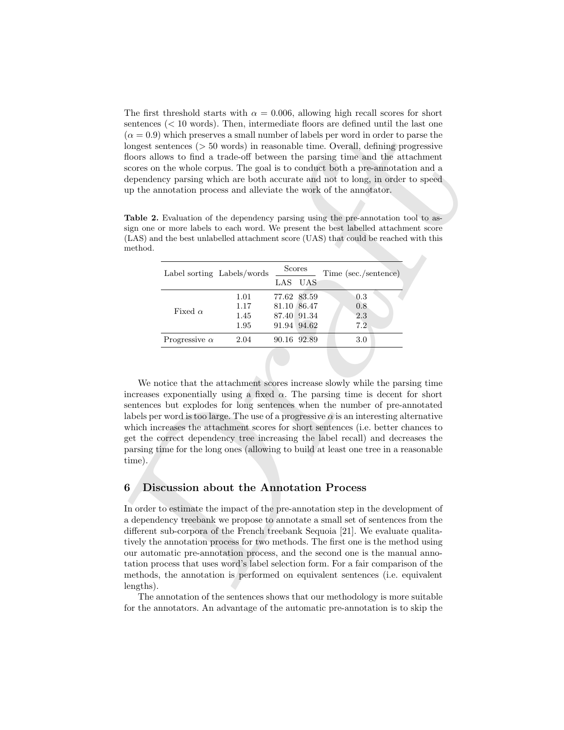The first threshold starts with  $\alpha = 0.006$ , allowing high recall scores for short sentences (< 10 words). Then, intermediate floors are defined until the last one  $(\alpha = 0.9)$  which preserves a small number of labels per word in order to parse the longest sentences (> 50 words) in reasonable time. Overall, defining progressive floors allows to find a trade-off between the parsing time and the attachment scores on the whole corpus. The goal is to conduct both a pre-annotation and a dependency parsing which are both accurate and not to long, in order to speed up the annotation process and alleviate the work of the annotator.

| Label sorting Labels/words | Scores |  | Time (sec./sentence)                                                               |  |
|----------------------------|--------|--|------------------------------------------------------------------------------------|--|
|                            |        |  |                                                                                    |  |
| 1.01                       |        |  | 0.3                                                                                |  |
| 1.17                       |        |  | 0.8                                                                                |  |
| 1.45                       |        |  | 2.3                                                                                |  |
| 1.95                       |        |  | 7.2                                                                                |  |
| 2.04                       |        |  | 3.0                                                                                |  |
|                            |        |  | LAS UAS<br>77.62 83.59<br>81.10 86.47<br>87.40 91.34<br>91.94 94.62<br>90.16 92.89 |  |

Table 2. Evaluation of the dependency parsing using the pre-annotation tool to assign one or more labels to each word. We present the best labelled attachment score (LAS) and the best unlabelled attachment score (UAS) that could be reached with this method.

We notice that the attachment scores increase slowly while the parsing time increases exponentially using a fixed  $\alpha$ . The parsing time is decent for short sentences but explodes for long sentences when the number of pre-annotated labels per word is too large. The use of a progressive  $\alpha$  is an interesting alternative which increases the attachment scores for short sentences (i.e. better chances to get the correct dependency tree increasing the label recall) and decreases the parsing time for the long ones (allowing to build at least one tree in a reasonable time).

# 6 Discussion about the Annotation Process

sense<br>the context (5 or 0.000); then moremones and momber of kabs per word in order to parse the<br>since ( $\alpha = 0.98$ ) which persenves a small number of kabs per word in order to perser<br>the longest sensitives ( $5$  or 000) in In order to estimate the impact of the pre-annotation step in the development of a dependency treebank we propose to annotate a small set of sentences from the different sub-corpora of the French treebank Sequoia [21]. We evaluate qualitatively the annotation process for two methods. The first one is the method using our automatic pre-annotation process, and the second one is the manual annotation process that uses word's label selection form. For a fair comparison of the methods, the annotation is performed on equivalent sentences (i.e. equivalent lengths).

The annotation of the sentences shows that our methodology is more suitable for the annotators. An advantage of the automatic pre-annotation is to skip the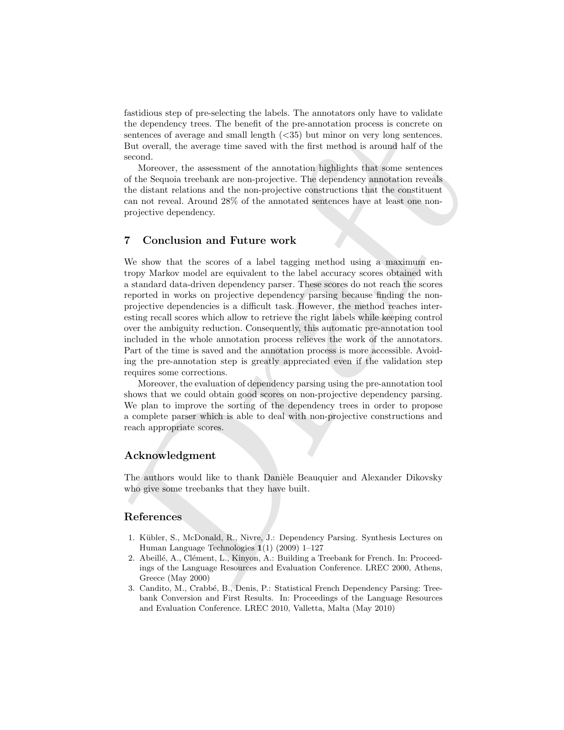fastidious step of pre-selecting the labels. The annotators only have to validate the dependency trees. The benefit of the pre-annotation process is concrete on sentences of average and small length (<35) but minor on very long sentences. But overall, the average time saved with the first method is around half of the second.

Moreover, the assessment of the annotation highlights that some sentences of the Sequoia treebank are non-projective. The dependency annotation reveals the distant relations and the non-projective constructions that the constituent can not reveal. Around 28% of the annotated sentences have at least one nonprojective dependency.

# 7 Conclusion and Future work

the representsy these three-homotomy (a) and benching the measurements of a<br>non-section of the persimulation process is controlled to the state of<br>the section. The average time saved with the first method is around half o We show that the scores of a label tagging method using a maximum entropy Markov model are equivalent to the label accuracy scores obtained with a standard data-driven dependency parser. These scores do not reach the scores reported in works on projective dependency parsing because finding the nonprojective dependencies is a difficult task. However, the method reaches interesting recall scores which allow to retrieve the right labels while keeping control over the ambiguity reduction. Consequently, this automatic pre-annotation tool included in the whole annotation process relieves the work of the annotators. Part of the time is saved and the annotation process is more accessible. Avoiding the pre-annotation step is greatly appreciated even if the validation step requires some corrections.

Moreover, the evaluation of dependency parsing using the pre-annotation tool shows that we could obtain good scores on non-projective dependency parsing. We plan to improve the sorting of the dependency trees in order to propose a complete parser which is able to deal with non-projective constructions and reach appropriate scores.

# Acknowledgment

The authors would like to thank Danièle Beauquier and Alexander Dikovsky who give some treebanks that they have built.

## References

- 1. K¨ubler, S., McDonald, R., Nivre, J.: Dependency Parsing. Synthesis Lectures on Human Language Technologies 1(1) (2009) 1–127
- 2. Abeillé, A., Clément, L., Kinyon, A.: Building a Treebank for French. In: Proceedings of the Language Resources and Evaluation Conference. LREC 2000, Athens, Greece (May 2000)
- 3. Candito, M., Crabb´e, B., Denis, P.: Statistical French Dependency Parsing: Treebank Conversion and First Results. In: Proceedings of the Language Resources and Evaluation Conference. LREC 2010, Valletta, Malta (May 2010)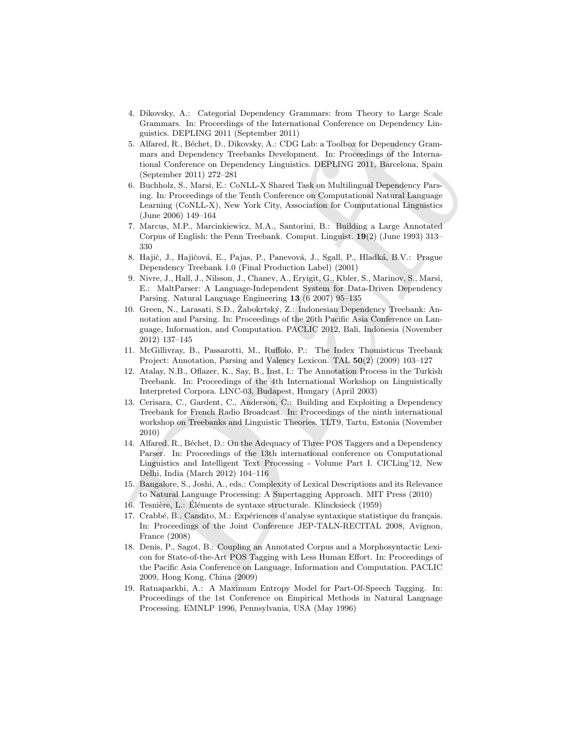- 4. Dikovsky, A.: Categorial Dependency Grammars: from Theory to Large Scale Grammars. In: Proceedings of the International Conference on Dependency Linguistics. DEPLING 2011 (September 2011)
- 5. Alfared, R., Béchet, D., Dikovsky, A.: CDG Lab: a Toolbox for Dependency Grammars and Dependency Treebanks Development. In: Proceedings of the International Conference on Dependency Linguistics. DEPLING 2011, Barcelona, Spain (September 2011) 272–281
- 6. Buchholz, S., Marsi, E.: CoNLL-X Shared Task on Multilingual Dependency Parsing. In: Proceedings of the Tenth Conference on Computational Natural Language Learning (CoNLL-X), New York City, Association for Computational Linguistics (June 2006) 149–164
- 7. Marcus, M.P., Marcinkiewicz, M.A., Santorini, B.: Building a Large Annotated Corpus of English: the Penn Treebank. Comput. Linguist. 19(2) (June 1993) 313– 330
- 8. Hajič, J., Hajičová, E., Pajas, P., Panevová, J., Sgall, P., Hladká, B.V.: Prague Dependency Treebank 1.0 (Final Production Label) (2001)
- 9. Nivre, J., Hall, J., Nilsson, J., Chanev, A., Eryigit, G., Kbler, S., Marinov, S., Marsi, E.: MaltParser: A Language-Independent System for Data-Driven Dependency Parsing. Natural Language Engineering 13 (6 2007) 95–135
- 10. Green, N., Larasati, S.D., Žabokrtský, Z.: Indonesian Dependency Treebank: Annotation and Parsing. In: Proceedings of the 26th Pacific Asia Conference on Language, Information, and Computation. PACLIC 2012, Bali, Indonesia (November 2012) 137–145
- 11. McGillivray, B., Passarotti, M., Ruffolo, P.: The Index Thomisticus Treebank Project: Annotation, Parsing and Valency Lexicon. TAL 50(2) (2009) 103–127
- 12. Atalay, N.B., Oflazer, K., Say, B., Inst, I.: The Annotation Process in the Turkish Treebank. In: Proceedings of the 4th International Workshop on Linguistically Interpreted Corpora. LINC-03, Budapest, Hungary (April 2003)
- consists. The Control of the mathematical<br>and R. Redsher, D. Different Control and the proposition of the mathematical<br>and R. Redsher, D. Difference on Dependency Langley and the Mercury Control and Conference on Dependen 13. Cerisara, C., Gardent, C., Anderson, C.: Building and Exploiting a Dependency Treebank for French Radio Broadcast. In: Proceedings of the ninth international workshop on Treebanks and Linguistic Theories. TLT9, Tartu, Estonia (November 2010)
	- 14. Alfared, R., Béchet, D.: On the Adequacy of Three POS Taggers and a Dependency Parser. In: Proceedings of the 13th international conference on Computational Linguistics and Intelligent Text Processing - Volume Part I. CICLing'12, New Delhi, India (March 2012) 104–116
	- 15. Bangalore, S., Joshi, A., eds.: Complexity of Lexical Descriptions and its Relevance to Natural Language Processing: A Supertagging Approach. MIT Press (2010)
	- 16. Tesnière, L.: Éléments de syntaxe structurale. Klincksieck (1959)
	- 17. Crabbé, B., Candito, M.: Expériences d'analyse syntaxique statistique du français. In: Proceedings of the Joint Conference JEP-TALN-RECITAL 2008, Avignon, France (2008)
	- 18. Denis, P., Sagot, B.: Coupling an Annotated Corpus and a Morphosyntactic Lexicon for State-of-the-Art POS Tagging with Less Human Effort. In: Proceedings of the Pacific Asia Conference on Language, Information and Computation. PACLIC 2009, Hong Kong, China (2009)
	- 19. Ratnaparkhi, A.: A Maximum Entropy Model for Part-Of-Speech Tagging. In: Proceedings of the 1st Conference on Empirical Methods in Natural Language Processing. EMNLP 1996, Pennsylvania, USA (May 1996)